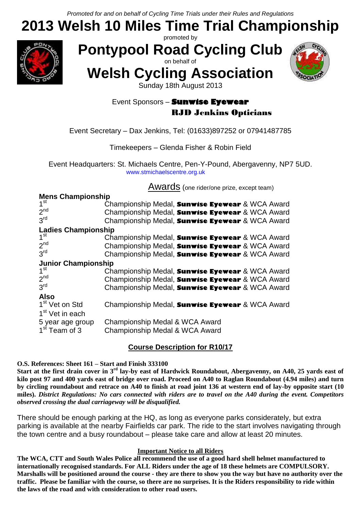## **2013 Welsh 10 Miles Time Trial Championship** promoted by



**Pontypool Road Cycling Club**

on behalf of **Welsh Cycling Association**



Sunday 18th August 2013

### Event Sponsors – **Sunwise Eyewear** RJD Jenkins Opticians

#### Event Secretary – Dax Jenkins, Tel: (01633)897252 or 07941487785

#### Timekeepers – Glenda Fisher & Robin Field

Event Headquarters: St. Michaels Centre, Pen-Y-Pound, Abergavenny, NP7 5UD. www.stmichaelscentre.org.uk

**Awards** (one rider/one prize, except team)

| <b>Mens Championship</b>                                   |                                                 |  |  |  |  |  |
|------------------------------------------------------------|-------------------------------------------------|--|--|--|--|--|
| $\frac{1}{1}$ st                                           | Championship Medal, Sunwise Eyewear & WCA Award |  |  |  |  |  |
| 2 <sub>nd</sub>                                            | Championship Medal, Sunwise Eyewear & WCA Award |  |  |  |  |  |
| 3 <sup>rd</sup>                                            | Championship Medal, Sunwise Eyewear & WCA Award |  |  |  |  |  |
|                                                            | Ladies Championship                             |  |  |  |  |  |
|                                                            | Championship Medal, Sunwise Eyewear & WCA Award |  |  |  |  |  |
| 2 <sub>nd</sub>                                            | Championship Medal, Sunwise Eyewear & WCA Award |  |  |  |  |  |
| 3 <sup>rd</sup>                                            | Championship Medal, Sunwise Eyewear & WCA Award |  |  |  |  |  |
| <b>Junior Championship</b><br>1 <sup>st</sup> Championship |                                                 |  |  |  |  |  |
|                                                            | Championship Medal, Sunwise Eyewear & WCA Award |  |  |  |  |  |
| 2 <sup>nd</sup>                                            | Championship Medal, Sunwise Eyewear & WCA Award |  |  |  |  |  |
| 3 <sup>rd</sup>                                            | Championship Medal, Sunwise Eyewear & WCA Award |  |  |  |  |  |
| <b>Also</b>                                                |                                                 |  |  |  |  |  |
| 1 <sup>st</sup> Vet on Std                                 | Championship Medal, Sunwise Eyewear & WCA Award |  |  |  |  |  |
| 1 <sup>st</sup> Vet in each                                |                                                 |  |  |  |  |  |
| 5 year age group                                           | Championship Medal & WCA Award                  |  |  |  |  |  |
| 1 <sup>st</sup> Team of 3                                  | Championship Medal & WCA Award                  |  |  |  |  |  |

#### **Course Description for R10/17**

#### **O.S. References: Sheet 161 – Start and Finish 333100**

**Start at the first drain cover in 3rd lay-by east of Hardwick Roundabout, Abergavenny, on A40, 25 yards east of kilo post 97 and 400 yards east of bridge over road. Proceed on A40 to Raglan Roundabout (4.94 miles) and turn by circling roundabout and retrace on A40 to finish at road joint 136 at western end of lay-by opposite start (10 miles).** *District Regulations: No cars connected with riders are to travel on the A40 during the event. Competitors observed crossing the dual carriageway will be disqualified.*

There should be enough parking at the HQ, as long as everyone parks considerately, but extra parking is available at the nearby Fairfields car park. The ride to the start involves navigating through the town centre and a busy roundabout – please take care and allow at least 20 minutes.

#### **Important Notice to all Riders**

**The WCA, CTT and South Wales Police all recommend the use of a good hard shell helmet manufactured to internationally recognised standards. For ALL Riders under the age of 18 these helmets are COMPULSORY. Marshalls will be positioned around the course - they are there to show you the way but have no authority over the traffic. Please be familiar with the course, so there are no surprises. It is the Riders responsibility to ride within the laws of the road and with consideration to other road users.**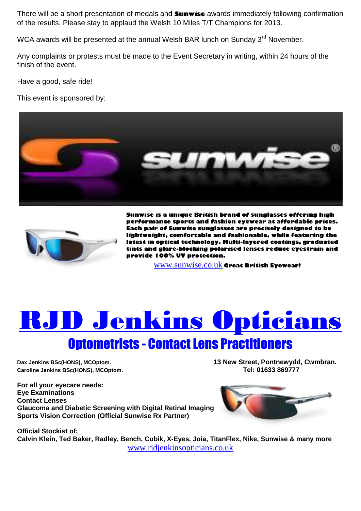There will be a short presentation of medals and **Sunwise** awards immediately following confirmation of the results. Please stay to applaud the Welsh 10 Miles T/T Champions for 2013.

WCA awards will be presented at the annual Welsh BAR lunch on Sunday  $3<sup>rd</sup>$  November.

Any complaints or protests must be made to the Event Secretary in writing, within 24 hours of the finish of the event.

Have a good, safe ride!

This event is sponsored by:





**Sunwise is a unique British brand of sunglasses offering high performance sports and fashion eyewear at affordable prices. Each pair of Sunwise sunglasses are precisely designed to be lightweight, comfortable and fashionable, while featuring the latest in optical technology. Multi-layered coatings, graduated tints and glare-blocking polarised lenses reduce eyestrain and provide 100% UV protection.**

[www.sunwise.co.uk](http://www.sunwise.co.uk/) **Great British Eyewear!**

# **TD Jenkins Opticians**

# Optometrists - Contact Lens Practitioners

**Caroline Jenkins BSc(HONS), MCOptom.** 

**Dax Jenkins BSc(HONS), MCOptom. 13 New Street, Pontnewydd, Cwmbran.**

**For all your eyecare needs: Eye Examinations Contact Lenses Glaucoma and Diabetic Screening with Digital Retinal Imaging Sports Vision Correction (Official Sunwise Rx Partner)**



**Official Stockist of: Calvin Klein, Ted Baker, Radley, Bench, Cubik, X-Eyes, Joia, TitanFlex, Nike, Sunwise & many more** [www.rjdjenkinsopticians.co.uk](http://www.rjdjenkinsopticians.co.uk/)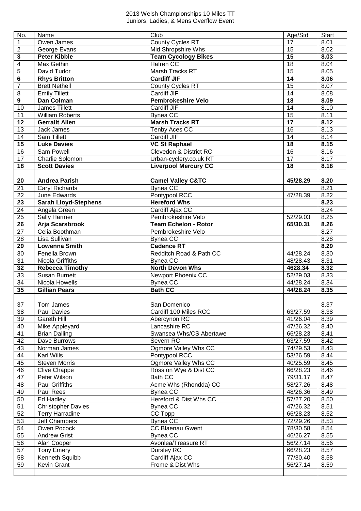#### Welsh Championships 10 Miles TT Juniors, Ladies , & Mens Overflow Event

| No.                     | Name                        | Club                              | Age/Std         | <b>Start</b> |
|-------------------------|-----------------------------|-----------------------------------|-----------------|--------------|
| 1                       | Owen James                  | <b>County Cycles RT</b>           | 17              | 8.01         |
| $\overline{\mathbf{c}}$ | George Evans                | Mid Shropshire Whs                | 15              | 8.02         |
| 3                       | <b>Peter Kibble</b>         | <b>Team Cycology Bikes</b>        | 15              | 8.03         |
| 4                       | Max Gethin                  | Hafren CC                         | $\overline{18}$ | 8.04         |
| 5                       | David Tudor                 | <b>Marsh Tracks RT</b>            | 15              | 8.05         |
| 6                       | <b>Rhys Britton</b>         | <b>Cardiff JIF</b>                | 14              | 8.06         |
| $\overline{7}$          | <b>Brett Nethell</b>        | County Cycles RT                  | $\overline{15}$ | 8.07         |
| $\overline{8}$          | Emily Tillett               | Cardiff JIF                       | $\overline{14}$ | 8.08         |
| $\overline{9}$          | Dan Colman                  | <b>Pembrokeshire Velo</b>         | $\overline{18}$ | 8.09         |
| 10                      | James Tillett               | <b>Cardiff JIF</b>                | $\overline{14}$ | 8.10         |
| 11                      | <b>William Roberts</b>      | <b>Bynea CC</b>                   | $\overline{15}$ | 8.11         |
| 12                      | <b>Gerrallt Allen</b>       | <b>Marsh Tracks RT</b>            | $\overline{17}$ | 8.12         |
| 13                      | Jack James                  | Tenby Aces CC                     | $\overline{16}$ | 8.13         |
| 14                      | Sam Tillett                 | Cardiff JIF                       | $\overline{14}$ | 8.14         |
| 15                      | <b>Luke Davies</b>          | <b>VC St Raphael</b>              | $\overline{18}$ | 8.15         |
| 16                      | Sam Powell                  | <b>Clevedon &amp; District RC</b> | $\overline{16}$ | 8.16         |
| 17                      | Charlie Solomon             | Urban-cyclery.co.uk RT            | $\overline{17}$ | 8.17         |
| 18                      | <b>Scott Davies</b>         | <b>Liverpool Mercury CC</b>       | $\overline{18}$ | 8.18         |
|                         |                             |                                   |                 |              |
| 20                      | <b>Andrea Parish</b>        | <b>Camel Valley C&amp;TC</b>      | 45/28.29        | 8.20         |
| 21                      | Caryl Richards              | <b>Bynea CC</b>                   |                 | 8.21         |
| 22                      | June Edwards                | Pontypool RCC                     | 47/28.39        | 8.22         |
| 23                      | <b>Sarah Lloyd-Stephens</b> | <b>Hereford Whs</b>               |                 | 8.23         |
| 24                      | Angela Green                | Cardiff Ajax CC                   |                 | 8.24         |
| 25                      | Sally Harmer                | Pembrokeshire Velo                | 52/29.03        | 8.25         |
| 26                      | Arja Scarsbrook             | <b>Team Echelon - Rotor</b>       | 65/30.31        | 8.26         |
| 27                      | Celia Boothman              | Pembrokeshire Velo                |                 | 8.27         |
| 28                      | Lisa Sullivan               | <b>Bynea CC</b>                   |                 | 8.28         |
| 29                      | <b>Lowenna Smith</b>        | <b>Cadence RT</b>                 |                 | 8.29         |
| 30                      | Fenella Brown               | Redditch Road & Path CC           | 44/28.24        | 8.30         |
| 31                      | Nicola Griffiths            | <b>Bynea CC</b>                   | 48/28.43        | 8.31         |
| $\overline{32}$         | <b>Rebecca Timothy</b>      | <b>North Devon Whs</b>            | 4628.34         | 8.32         |
| 33                      | <b>Susan Burnett</b>        | <b>Newport Phoenix CC</b>         | 52/29.03        | 8.33         |
| 34                      | Nicola Howells              | <b>Bynea CC</b>                   | 44/28.24        | 8.34         |
| 35                      | <b>Gillian Pears</b>        | <b>Bath CC</b>                    | 44/28.24        | 8.35         |
|                         |                             |                                   |                 |              |
| $\overline{37}$         | Tom James                   | San Domenico                      |                 | 8.37         |
| 38                      | Paul Davies                 | Cardiff 100 Miles RCC             | 63/27.59        | 8.38         |
| 39                      | Gareth Hill                 | Abercynon RC                      | 41/26.04        | 8.39         |
| 40                      | Mike Appleyard              | Lancashire RC                     | 47/26.32        | 8.40         |
| 41                      | <b>Brian Dalling</b>        | Swansea Whs/CS Abertawe           | 66/28.23        | 8.41         |
| 42                      | Dave Burrows                | Severn RC                         | 63/27.59        | 8.42         |
| 43                      | Norman James                | Ogmore Valley Whs CC              | 74/29.53        | 8.43         |
| 44                      | Karl Wills                  | Pontypool RCC                     | 53/26.59        | 8.44         |
| 45                      | <b>Steven Morris</b>        | Ogmore Valley Whs CC              | 40/25.59        | 8.45         |
| 46                      | Clive Chappe                | Ross on Wye & Dist CC             | 66/28.23        | 8.46         |
| 47                      | Peter Wilson                | <b>Bath CC</b>                    | 79/31.17        | 8.47         |
| 48                      | Paul Griffiths              | Acme Whs (Rhondda) CC             | 58/27.26        | 8.48         |
| 49                      | Paul Rees                   | <b>Bynea CC</b>                   | 48/26.36        | 8.49         |
| 50                      | Ed Hadley                   | Hereford & Dist Whs CC            | 57/27.20        | 8.50         |
| 51                      | <b>Christopher Davies</b>   | <b>Bynea CC</b>                   | 47/26.32        | 8.51         |
| 52                      | <b>Terry Harradine</b>      | CC Topp                           | 66/28.23        | 8.52         |
| 53                      | Jeff Chambers               | <b>Bynea CC</b>                   | 72/29.26        | 8.53         |
| 54                      | Owen Pocock                 | <b>CC Blaenau Gwent</b>           | 78/30.58        | 8.54         |
| 55                      | <b>Andrew Grist</b>         | <b>Bynea CC</b>                   | 46/26.27        | 8.55         |
| 56                      | Alan Cooper                 | Avonlea/Treasure RT               | 56/27.14        | 8.56         |
| 57                      | <b>Tony Emery</b>           | Dursley RC                        | 66/28.23        | 8.57         |
| 58                      | Kenneth Squibb              | Cardiff Ajax CC                   | 77/30.40        | 8.58         |
| 59                      | Kevin Grant                 | Frome & Dist Whs                  | 56/27.14        | 8.59         |
|                         |                             |                                   |                 |              |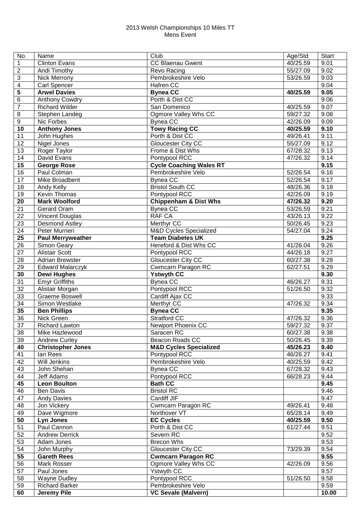#### Welsh Championships 10 Miles TT Mens Event

| No.                     | Name                       | Club                              | Age/Std  | <b>Start</b> |
|-------------------------|----------------------------|-----------------------------------|----------|--------------|
| $\mathbf{1}$            | <b>Clinton Evans</b>       | <b>CC Blaenau Gwent</b>           | 40/25.59 | 9.01         |
| $\overline{2}$          | Andi Timothy               | Revo Racing                       | 55/27.09 | 9.02         |
| 3                       | <b>Nick Merrony</b>        | Pembrokeshire Velo                | 53/26.59 | 9.03         |
| $\overline{\mathbf{4}}$ | <b>Carl Spencer</b>        | Hafren CC                         |          | 9.04         |
| $\overline{\mathbf{5}}$ | <b>Arwel Davies</b>        | <b>Bynea CC</b>                   | 40/25.59 | 9.05         |
| $\,6$                   | Anthony Cowdry             | Porth & Dist CC                   |          | 9.06         |
| $\overline{7}$          | <b>Richard Wilder</b>      | San Domenico                      | 40/25.59 | 9.07         |
| $\bf 8$                 | Stephen Landeg             | Ogmore Valley Whs CC              | 59/27.32 | 9.08         |
| $\boldsymbol{9}$        | Nic Forbes                 | <b>Bynea CC</b>                   | 42/26.09 | 9.09         |
| 10                      | <b>Anthony Jones</b>       | <b>Towy Racing CC</b>             | 40/25.59 | 9.10         |
| 11                      | John Hughes                | Porth & Dist CC                   | 49/26.41 | 9.11         |
| 12                      | Nigel Jones                | Gloucester City CC                | 55/27.09 | 9.12         |
| 13                      | Roger Taylor               | Frome & Dist Whs                  | 67/28.32 | 9.13         |
| 14                      | David Evans                | Pontypool RCC                     | 47/26.32 | 9.14         |
| 15                      | <b>George Rose</b>         | <b>Cycle Coaching Wales RT</b>    |          | 9.15         |
| 16                      | Paul Colman                | Pembrokeshire Velo                | 52/26.54 | 9.16         |
| 17                      | Mike Broadbent             | Bynea CC                          | 52/26.54 | 9.17         |
| 18                      |                            | <b>Bristol South CC</b>           | 48/26.36 | 9.18         |
| 19                      | Andy Kelly<br>Kevin Thomas | Pontypool RCC                     |          |              |
|                         |                            |                                   | 42/26.09 | 9.19         |
| 20                      | <b>Mark Woolford</b>       | <b>Chippenham &amp; Dist Whs</b>  | 47/26.32 | 9.20         |
| 21                      | Gerard Oram                | <b>Bynea CC</b>                   | 53/26.59 | 9.21         |
| 22                      | <b>Vincent Douglas</b>     | RAF CA                            | 43/26.13 | 9.22         |
| 23                      | Desmond Astley             | Merthyr CC                        | 50/26.45 | 9.23         |
| 24                      | Peter Murrieri             | <b>M&amp;D Cycles Specialized</b> | 54/27.04 | 9.24         |
| 25                      | <b>Paul Merryweather</b>   | <b>Team Diabetes UK</b>           |          | 9.25         |
| 26                      | Simon Geary                | Hereford & Dist Whs CC            | 41/26.04 | 9.26         |
| 27                      | <b>Alistair Scott</b>      | Pontypool RCC                     | 44/26.18 | 9.27         |
| 28                      | <b>Adrian Brewster</b>     | Gloucester City CC                | 60/27.38 | 9.28         |
| 29                      | <b>Edward Malarczyk</b>    | Cwmcarn Paragon RC                | 62/27.51 | 9.29         |
| 30                      | <b>Dewi Hughes</b>         | <b>Ystwyth CC</b>                 |          | 9.30         |
| 31                      | <b>Emyr Griffiths</b>      | <b>Bynea CC</b>                   | 46/26.27 | 9.31         |
| 32                      | Alistair Morgan            | Pontypool RCC                     | 51/26.50 | 9.32         |
| 33                      | <b>Graeme Boswell</b>      | Cardiff Ajax CC                   |          | 9.33         |
| 34                      | Simon Westlake             | Merthyr CC                        | 47/26.32 | 9.34         |
| 35                      | <b>Ben Phillips</b>        | <b>Bynea CC</b>                   |          | 9.35         |
| 36                      | Nick Green                 | <b>Stratford CC</b>               | 47/26.32 | 9.36         |
| $\overline{37}$         | Richard Lawton             | Newport Phoenix CC                | 59/27.32 | 9.37         |
| 38                      | Mike Hazlewood             | Saracen RC                        | 60/27.38 | 9.38         |
| 39                      | <b>Andrew Curley</b>       | Beacon Roads CC                   | 50/26.45 | 9.39         |
| 40                      | <b>Christopher Jones</b>   | <b>M&amp;D Cycles Specialized</b> | 45/26.23 | 9.40         |
| 41                      | lan Rees                   | Pontypool RCC                     | 46/26.27 | 9.41         |
| 42                      | Will Jenkins               | Pembrokeshire Velo                | 40/25.59 | 9.42         |
| 43                      | John Shehan                | <b>Bynea CC</b>                   | 67/28.32 | 9.43         |
| 44                      | Jeff Adams                 | Pontypool RCC                     | 66/28.23 | 9.44         |
| 45                      | <b>Leon Boulton</b>        | <b>Bath CC</b>                    |          | 9.45         |
| 46                      | Ben Davis                  | <b>Bristol RC</b>                 |          | 9.46         |
| 47                      | <b>Andy Davies</b>         | Cardiff JIF                       |          | 9.47         |
| 48                      | Jon Vickery                | Cwmcarn Paragon RC                | 49/26.41 | 9.48         |
| 49                      | Dave Wigmore               | Northover VT                      | 65/28.14 | 9.49         |
| 50                      | Lyn Jones                  | <b>EC Cycles</b>                  | 40/25.59 | 9.50         |
| 51                      | Paul Cannon                | Porth & Dist CC                   | 61/27.44 | 9.51         |
| 52                      | <b>Andrew Derrick</b>      | Severn RC                         |          | 9.52         |
| 53                      | Adam Jones                 | <b>Brecon Whs</b>                 |          | 9.53         |
| 54                      | John Murphy                | Gloucester City CC                | 73/29.39 | 9.54         |
| 55                      | <b>Gareth Rees</b>         | <b>Cwmcarn Paragon RC</b>         |          | 9.55         |
| 56                      | Mark Rosser                | Ogmore Valley Whs CC              | 42/26.09 | 9.56         |
| 57                      | Paul Jones                 | Ystwyth CC                        |          | 9.57         |
| 58                      | <b>Wayne Dudley</b>        | Pontypool RCC                     | 51/26.50 | 9.58         |
| 59                      | <b>Richard Barker</b>      | Pembrokeshire Velo                |          | 9.59         |
|                         |                            |                                   |          |              |
| 60                      | <b>Jeremy Pile</b>         | <b>VC Sevale (Malvern)</b>        |          | 10.00        |